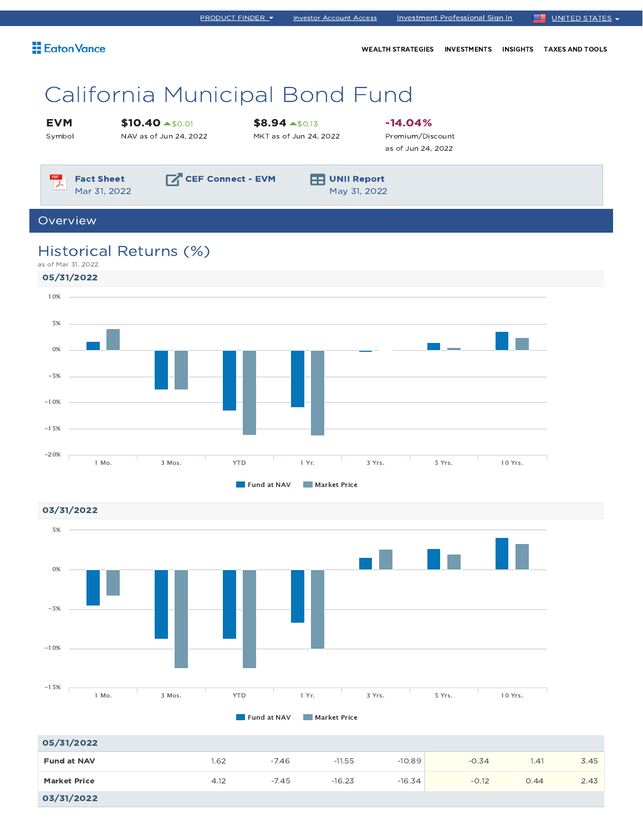| <b>E</b> aton Vance                               |                                                      |                                                  | <b>WEALTH STRATEGIES</b>                            | <b>INVESTMENTS</b> | <b>INSIGHTS</b> | <b>TAXES AND TOOLS</b> |  |  |
|---------------------------------------------------|------------------------------------------------------|--------------------------------------------------|-----------------------------------------------------|--------------------|-----------------|------------------------|--|--|
|                                                   | California Municipal Bond Fund                       |                                                  |                                                     |                    |                 |                        |  |  |
| <b>EVM</b><br>Symbol                              | $$10.40 \rightarrow $0.01$<br>NAV as of Jun 24, 2022 | $$8.94 \text{ -}50.13$<br>MKT as of Jun 24, 2022 | $-14.04%$<br>Premium/Discount<br>as of Jun 24, 2022 |                    |                 |                        |  |  |
| $\mathbb{R}$<br><b>Fact Sheet</b><br>Mar 31, 2022 | CEF Connect - EVM                                    | <b>UNII Report</b><br>FЫ<br>May 31, 2022         |                                                     |                    |                 |                        |  |  |
| Overview                                          |                                                      |                                                  |                                                     |                    |                 |                        |  |  |

PRODUCT FINDER Investor Account Access Investment Professional Sign In UNITED STATES

# Historical Returns (%)

as of Mar 31, 2022

03/31/2022



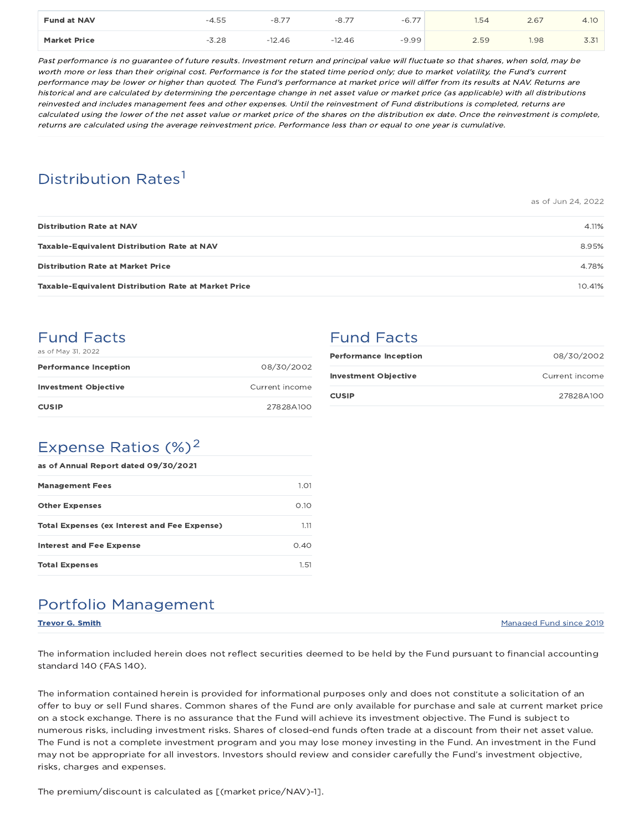| <b>Fund at NAV</b>  | --<br>55<br>-4- | -<br>-8                      | $\overline{\phantom{a}}$<br>-8., | $-6.7$ <sup>-</sup> | $-$<br>.54 | 2.67 | 4.1 <sub>C</sub> |
|---------------------|-----------------|------------------------------|----------------------------------|---------------------|------------|------|------------------|
| <b>Market Price</b> | -<br>28         | $\mathbf{1}$<br>.2.46<br>- 1 | $-12.46$                         | $-9.99$             | 2.59       | 1.98 | -                |

Past performance is no guarantee of future results. Investment return and principal value will fluctuate so that shares, when sold, may be worth more or less than their original cost. Performance is for the stated time period only; due to market volatility, the Fund's current performance may be lower or higher than quoted. The Fund's performance at market price will differ from its results at NAV. Returns are historical and are calculated by determining the percentage change in net asset value or market price (as applicable) with all distributions reinvested and includes management fees and other expenses. Until the reinvestment of Fund distributions is completed, returns are calculated using the lower of the net asset value or market price of the shares on the distribution ex date. Once the reinvestment is complete, returns are calculated using the average reinvestment price. Performance less than or equal to one year is cumulative.

# Distribution Rates<sup>1</sup>

as of Jun 24, 2022

| <b>Distribution Rate at NAV</b>                             | 4.11%  |
|-------------------------------------------------------------|--------|
| <b>Taxable-Equivalent Distribution Rate at NAV</b>          | 8.95%  |
| <b>Distribution Rate at Market Price</b>                    | 4.78%  |
| <b>Taxable-Equivalent Distribution Rate at Market Price</b> | 10.41% |

# Fund Facts

| as of May 31, 2022           |                |
|------------------------------|----------------|
| <b>Performance Inception</b> | 08/30/2002     |
| <b>Investment Objective</b>  | Current income |
| <b>CUSIP</b>                 | 27828A100      |

# Fund Facts

| <b>Performance Inception</b> | 08/30/2002     |
|------------------------------|----------------|
| <b>Investment Objective</b>  | Current income |
| <b>CUSIP</b>                 | 27828A100      |

### Expense Ratios  $(\%)^2$

| as of Annual Report dated 09/30/2021                |      |  |  |  |  |
|-----------------------------------------------------|------|--|--|--|--|
| <b>Management Fees</b>                              | 1.01 |  |  |  |  |
| <b>Other Expenses</b>                               | 0.10 |  |  |  |  |
| <b>Total Expenses (ex Interest and Fee Expense)</b> | 1.11 |  |  |  |  |
| Interest and Fee Expense                            | 0.40 |  |  |  |  |
| <b>Total Expenses</b>                               | 1.51 |  |  |  |  |

# Portfolio Management

**Trevor G. Smith Managed Fund since 2019** Managed Fund since 2019

The information included herein does not reflect securities deemed to be held by the Fund pursuant to financial accounting standard 140 (FAS 140).

The information contained herein is provided for informational purposes only and does not constitute a solicitation of an offer to buy or sell Fund shares. Common shares of the Fund are only available for purchase and sale at current market price on a stock exchange. There is no assurance that the Fund will achieve its investment objective. The Fund is subject to numerous risks, including investment risks. Shares of closed-end funds often trade at a discount from their net asset value. The Fund is not a complete investment program and you may lose money investing in the Fund. An investment in the Fund may not be appropriate for all investors. Investors should review and consider carefully the Fund's investment objective, risks, charges and expenses.

The premium/discount is calculated as [(market price/NAV)-1].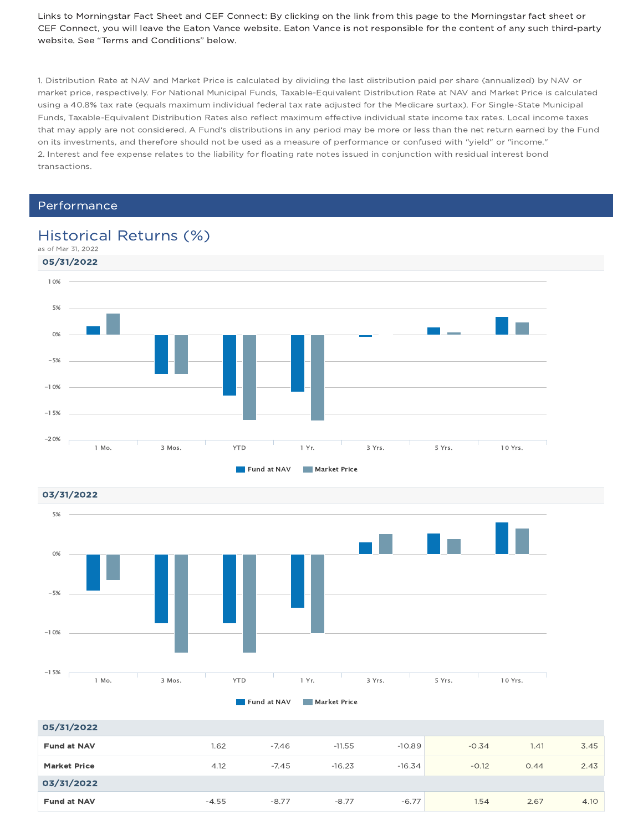Links to Morningstar Fact Sheet and CEF Connect: By clicking on the link from this page to the Morningstar fact sheet or CEF Connect, you will leave the Eaton Vance website. Eaton Vance is not responsible for the content of any such third-party website. See "Terms and Conditions" below.

1. Distribution Rate at NAV and Market Price is calculated by dividing the last distribution paid per share (annualized) by NAV or market price, respectively. For National Municipal Funds, Taxable-Equivalent Distribution Rate at NAV and Market Price is calculated using a 40.8% tax rate (equals maximum individual federal tax rate adjusted for the Medicare surtax). For Single-State Municipal Funds, Taxable-Equivalent Distribution Rates also reflect maximum effective individual state income tax rates. Local income taxes that may apply are not considered. A Fund's distributions in any period may be more or less than the net return earned by the Fund on its investments, and therefore should not be used as a measure of performance or confused with "yield" or "income." 2. Interest and fee expense relates to the liability for floating rate notes issued in conjunction with residual interest bond transactions.

### Performance





| 05/31/2022          |         |         |          |          |         |      |      |
|---------------------|---------|---------|----------|----------|---------|------|------|
| <b>Fund at NAV</b>  | 1.62    | $-7.46$ | $-11.55$ | $-10.89$ | $-0.34$ | 1.41 | 3.45 |
| <b>Market Price</b> | 4.12    | $-7.45$ | $-16.23$ | $-16.34$ | $-0.12$ | 0.44 | 2.43 |
| 03/31/2022          |         |         |          |          |         |      |      |
| <b>Fund at NAV</b>  | $-4.55$ | $-8.77$ | $-8.77$  | $-6.77$  | 1.54    | 2.67 | 4.10 |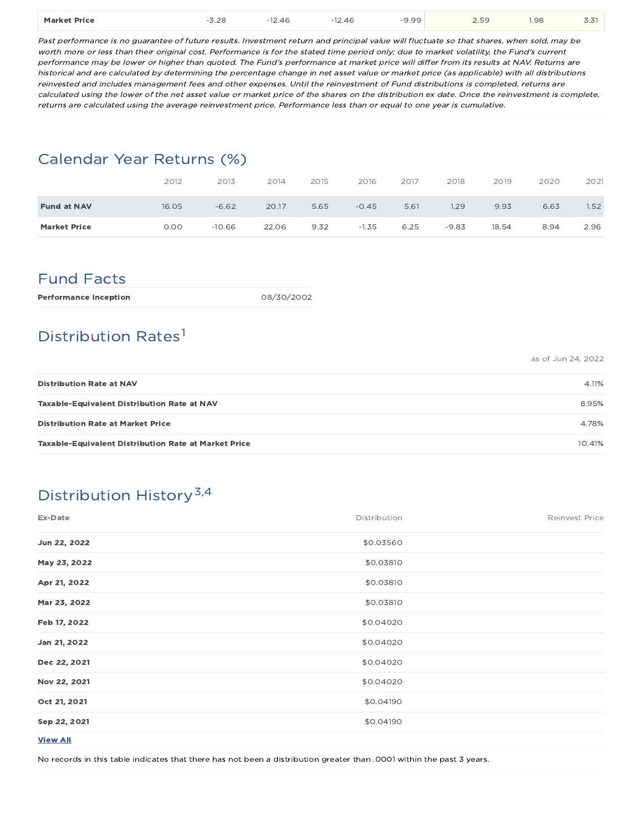| $-9.99$<br><b>1.98</b><br><b>Market Price</b><br>.<br>$\sim$ $\sim$<br>$\sim$<br>$\sim$<br>$\Delta F$<br>2.46<br>2.59<br>ఎ.∠ర<br><u>.</u><br>---- | --<br>3.31 |
|---------------------------------------------------------------------------------------------------------------------------------------------------|------------|
|---------------------------------------------------------------------------------------------------------------------------------------------------|------------|

Past performance is no guarantee of future results. Investment return and principal value will fluctuate so that shares, when sold, may be worth more or less than their original cost. Performance is for the stated time period only; due to market volatility, the Fund's current performance may be lower or higher than quoted. The Fund's performance at market price will differ from its results at NAV. Returns are historical and are calculated by determining the percentage change in net asset value or market price (as applicable) with all distributions reinvested and includes management fees and other expenses. Until the reinvestment of Fund distributions is completed, returns are calculated using the lower of the net asset value or market price of the shares on the distribution ex date. Once the reinvestment is complete, returns are calculated using the average reinvestment price. Performance less than or equal to one year is cumulative.

### Calendar Year Returns (%)

|                     | 2012  | 2013     | 2014  | 2015 | 2016    | 2017 | 2018    | 2019  | 2020 | 2021              |
|---------------------|-------|----------|-------|------|---------|------|---------|-------|------|-------------------|
| <b>Fund at NAV</b>  | 16.05 | $-6.62$  | 20.17 | 5.65 | $-0.45$ | 5.61 | 1.29    | 9.93  | 6.63 | 1.52 <sub>1</sub> |
| <b>Market Price</b> | 0.00  | $-10.66$ | 22.06 | 9.32 | $-1.35$ | 6.25 | $-9.83$ | 18.54 | 8.94 | 2.96              |

### Fund Facts

| 08/30/2002 |
|------------|
|            |

# Distribution Rates<sup>1</sup>

as of Jun 24, 2022

| <b>Distribution Rate at NAV</b>                             | 4.11%  |
|-------------------------------------------------------------|--------|
| <b>Taxable-Equivalent Distribution Rate at NAV</b>          | 8.95%  |
| <b>Distribution Rate at Market Price</b>                    | 4.78%  |
| <b>Taxable-Equivalent Distribution Rate at Market Price</b> | 10.41% |

# Distribution History<sup>3,4</sup>

| Ex-Date         | Distribution | Reinvest Price |
|-----------------|--------------|----------------|
| Jun 22, 2022    | \$0.03560    |                |
| May 23, 2022    | \$0.03810    |                |
| Apr 21, 2022    | \$0.03810    |                |
| Mar 23, 2022    | \$0.03810    |                |
| Feb 17, 2022    | \$0.04020    |                |
| Jan 21, 2022    | \$0.04020    |                |
| Dec 22, 2021    | \$0.04020    |                |
| Nov 22, 2021    | \$0.04020    |                |
| Oct 21, 2021    | \$0.04190    |                |
| Sep 22, 2021    | \$0.04190    |                |
| <b>View All</b> |              |                |

No records in this table indicates that there has not been a distribution greater than .0001 within the past 3 years.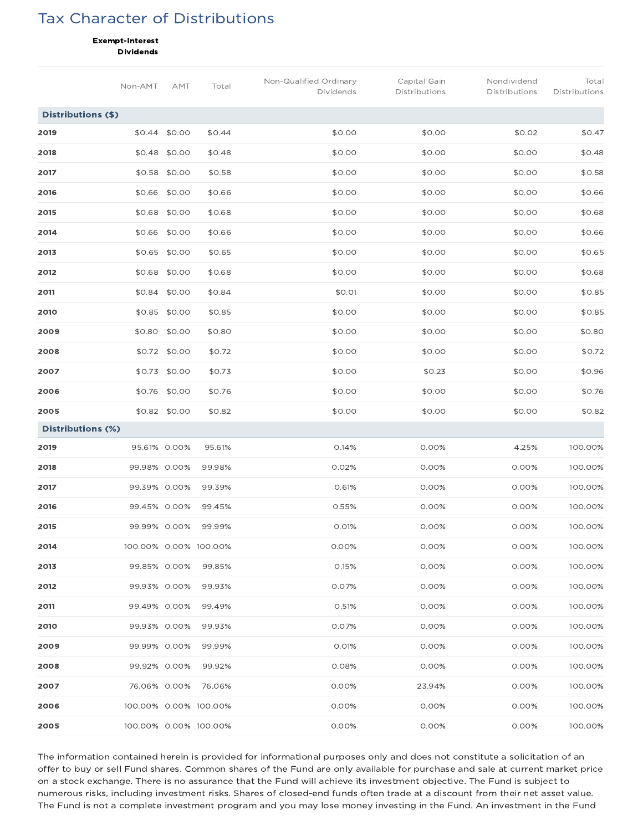## Tax Character of Distributions

Exempt-Interest

Dividends

|                    | Non-AMT               | AMT           | Total  | Non-Qualified Ordinary<br>Dividends | Capital Gain<br>Distributions | Nondividend<br>Distributions | Total<br>Distributions |
|--------------------|-----------------------|---------------|--------|-------------------------------------|-------------------------------|------------------------------|------------------------|
| Distributions (\$) |                       |               |        |                                     |                               |                              |                        |
| 2019               | \$0.44                | \$0.00        | \$0.44 | \$0.00                              | \$0.00                        | \$0.02                       | \$0.47                 |
| 2018               | \$0.48                | \$0.00        | \$0.48 | \$0.00                              | \$0.00                        | \$0.00                       | \$0.48                 |
| 2017               | \$0.58                | \$0.00        | \$0.58 | \$0.00                              | \$0.00                        | \$0.00                       | \$0.58                 |
| 2016               | \$0.66                | \$0.00        | \$0.66 | \$0.00                              | \$0.00                        | \$0.00                       | \$0.66                 |
| 2015               |                       | \$0.68 \$0.00 | \$0.68 | \$0.00                              | \$0.00                        | \$0.00                       | \$0.68                 |
| 2014               | \$0.66                | \$0.00        | \$0.66 | \$0.00                              | \$0.00                        | \$0.00                       | \$0.66                 |
| 2013               |                       | \$0.65 \$0.00 | \$0.65 | \$0.00                              | \$0.00                        | \$0.00                       | \$0.65                 |
| 2012               |                       | \$0.68 \$0.00 | \$0.68 | \$0.00                              | \$0.00                        | \$0.00                       | \$0.68                 |
| 2011               | \$0.84                | \$0.00        | \$0.84 | \$0.01                              | \$0.00                        | \$0.00                       | \$0.85                 |
| 2010               | \$0.85                | \$0.00        | \$0.85 | \$0.00                              | \$0.00                        | \$0.00                       | \$0.85                 |
| 2009               | \$0.80                | \$0.00        | \$0.80 | \$0.00                              | \$0.00                        | \$0.00                       | \$0.80                 |
| 2008               |                       | \$0.72 \$0.00 | \$0.72 | \$0.00                              | \$0.00                        | \$0.00                       | \$0.72                 |
| 2007               |                       | \$0.73 \$0.00 | \$0.73 | \$0.00                              | \$0.23                        | \$0.00                       | \$0.96                 |
| 2006               |                       | \$0.76 \$0.00 | \$0.76 | \$0.00                              | \$0.00                        | \$0.00                       | \$0.76                 |
| 2005               |                       | \$0.82 \$0.00 | \$0.82 | \$0.00                              | \$0.00                        | \$0.00                       | \$0.82                 |
| Distributions (%)  |                       |               |        |                                     |                               |                              |                        |
| 2019               | 95.61% 0.00%          |               | 95.61% | 0.14%                               | 0.00%                         | 4.25%                        | 100.00%                |
| 2018               | 99.98% 0.00%          |               | 99.98% | 0.02%                               | 0.00%                         | 0.00%                        | 100.00%                |
| 2017               | 99.39% 0.00%          |               | 99.39% | 0.61%                               | 0.00%                         | 0.00%                        | 100.00%                |
| 2016               | 99.45% 0.00%          |               | 99.45% | 0.55%                               | 0.00%                         | 0.00%                        | 100.00%                |
| 2015               | 99.99% 0.00%          |               | 99.99% | 0.01%                               | 0.00%                         | 0.00%                        | 100.00%                |
| 2014               | 100.00% 0.00% 100.00% |               |        | 0.00%                               | 0.00%                         | 0.00%                        | 100.00%                |
| 2013               | 99.85% 0.00%          |               | 99.85% | 0.15%                               | 0.00%                         | 0.00%                        | 100.00%                |
| 2012               | 99.93% 0.00%          |               | 99.93% | 0.07%                               | 0.00%                         | 0.00%                        | 100.00%                |
| 2011               | 99.49% 0.00%          |               | 99.49% | O.51%                               | 0.00%                         | 0.00%                        | 100.00%                |
| 2010               | 99.93% 0.00%          |               | 99.93% | 0.07%                               | 0.00%                         | 0.00%                        | 100.00%                |
| 2009               | 99.99% 0.00%          |               | 99.99% | 0.01%                               | 0.00%                         | 0.00%                        | 100.00%                |
| 2008               | 99.92% 0.00%          |               | 99.92% | 0.08%                               | 0.00%                         | 0.00%                        | 100.00%                |
| 2007               | 76.06% 0.00%          |               | 76.06% | 0.00%                               | 23.94%                        | 0.00%                        | 100.00%                |
| 2006               | 100.00% 0.00% 100.00% |               |        | 0.00%                               | 0.00%                         | 0.00%                        | 100.00%                |
| 2005               | 100.00% 0.00% 100.00% |               |        | 0.00%                               | 0.00%                         | 0.00%                        | 100.00%                |

The information contained herein is provided for informational purposes only and does not constitute a solicitation of an offer to buy or sell Fund shares. Common shares of the Fund are only available for purchase and sale at current market price on a stock exchange. There is no assurance that the Fund will achieve its investment objective. The Fund is subject to numerous risks, including investment risks. Shares of closed-end funds often trade at a discount from their net asset value. The Fund is not a complete investment program and you may lose money investing in the Fund. An investment in the Fund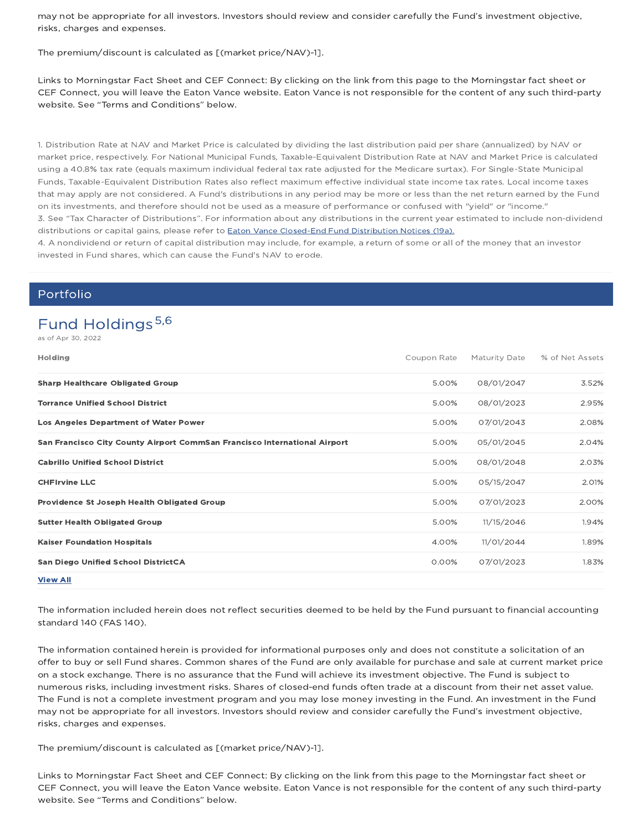may not be appropriate for all investors. Investors should review and consider carefully the Fund's investment objective, risks, charges and expenses.

The premium/discount is calculated as [(market price/NAV)-1].

Links to Morningstar Fact Sheet and CEF Connect: By clicking on the link from this page to the Morningstar fact sheet or CEF Connect, you will leave the Eaton Vance website. Eaton Vance is not responsible for the content of any such third-party website. See "Terms and Conditions" below.

1. Distribution Rate at NAV and Market Price is calculated by dividing the last distribution paid per share (annualized) by NAV or market price, respectively. For National Municipal Funds, Taxable-Equivalent Distribution Rate at NAV and Market Price is calculated using a 40.8% tax rate (equals maximum individual federal tax rate adjusted for the Medicare surtax). For Single-State Municipal Funds, Taxable-Equivalent Distribution Rates also reflect maximum effective individual state income tax rates. Local income taxes that may apply are not considered. A Fund's distributions in any period may be more or less than the net return earned by the Fund on its investments, and therefore should not be used as a measure of performance or confused with "yield" or "income." 3. See "Tax Character of Distributions". For information about any distributions in the current year estimated to include non-dividend distributions or capital gains, please refer to Eaton Vance Closed-End Fund Distribution Notices (19a).

4. A nondividend or return of capital distribution may include, for example, a return of some or all of the money that an investor invested in Fund shares, which can cause the Fund's NAV to erode.

### Portfolio

# Fund Holdings 5,6

as of Apr 30, 2022

| Holding                                                                   | Coupon Rate | Maturity Date | % of Net Assets |
|---------------------------------------------------------------------------|-------------|---------------|-----------------|
| <b>Sharp Healthcare Obligated Group</b>                                   | 5.00%       | 08/01/2047    | 3.52%           |
| <b>Torrance Unified School District</b>                                   | 5.00%       | 08/01/2023    | 2.95%           |
| <b>Los Angeles Department of Water Power</b>                              | 5.00%       | 07/01/2043    | 2.08%           |
| San Francisco City County Airport CommSan Francisco International Airport | 5.00%       | 05/01/2045    | 2.04%           |
| <b>Cabrillo Unified School District</b>                                   | 5.00%       | 08/01/2048    | 2.03%           |
| <b>CHFIrvine LLC</b>                                                      | 5.00%       | 05/15/2047    | 2.01%           |
| Providence St Joseph Health Obligated Group                               | 5.00%       | 07/01/2023    | 2.00%           |
| <b>Sutter Health Obligated Group</b>                                      | 5.00%       | 11/15/2046    | 1.94%           |
| <b>Kaiser Foundation Hospitals</b>                                        | 4.00%       | 11/01/2044    | 1.89%           |
| <b>San Diego Unified School DistrictCA</b>                                | 0.00%       | 07/01/2023    | 1.83%           |
| <b>View All</b>                                                           |             |               |                 |

The information included herein does not reflect securities deemed to be held by the Fund pursuant to financial accounting standard 140 (FAS 140).

The information contained herein is provided for informational purposes only and does not constitute a solicitation of an offer to buy or sell Fund shares. Common shares of the Fund are only available for purchase and sale at current market price on a stock exchange. There is no assurance that the Fund will achieve its investment objective. The Fund is subject to numerous risks, including investment risks. Shares of closed-end funds often trade at a discount from their net asset value. The Fund is not a complete investment program and you may lose money investing in the Fund. An investment in the Fund may not be appropriate for all investors. Investors should review and consider carefully the Fund's investment objective, risks, charges and expenses.

The premium/discount is calculated as [(market price/NAV)-1].

Links to Morningstar Fact Sheet and CEF Connect: By clicking on the link from this page to the Morningstar fact sheet or CEF Connect, you will leave the Eaton Vance website. Eaton Vance is not responsible for the content of any such third-party website. See "Terms and Conditions" below.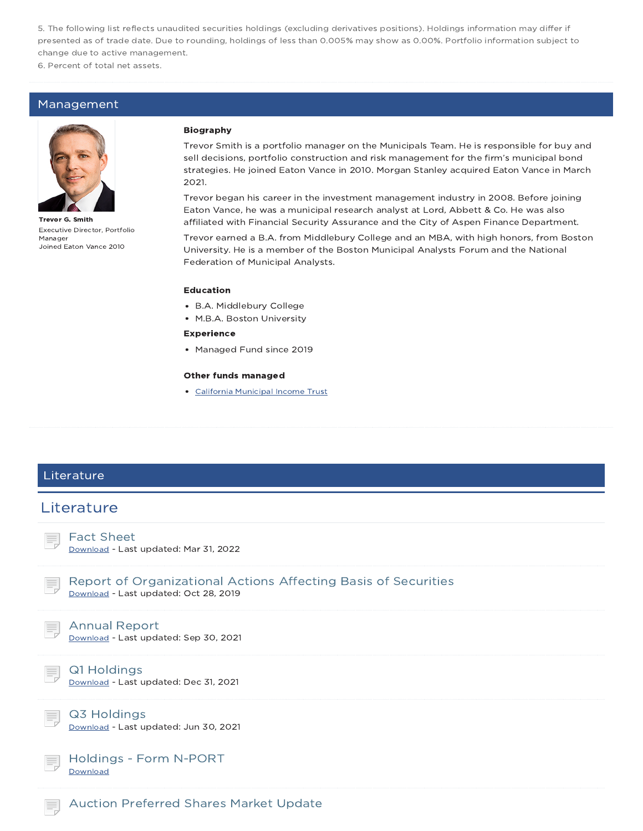5. The following list reflects unaudited securities holdings (excluding derivatives positions). Holdings information may differ if presented as of trade date. Due to rounding, holdings of less than 0.005% may show as 0.00%. Portfolio information subject to change due to active management.

6. Percent of total net assets.

### Management



Trevor G. Smith Executive Director, Portfolio Manager Joined Eaton Vance 2010

#### Biography

Trevor Smith is a portfolio manager on the Municipals Team. He is responsible for buy and sell decisions, portfolio construction and risk management for the firm's municipal bond strategies. He joined Eaton Vance in 2010. Morgan Stanley acquired Eaton Vance in March 2021.

Trevor began his career in the investment management industry in 2008. Before joining Eaton Vance, he was a municipal research analyst at Lord, Abbett & Co. He was also affiliated with Financial Security Assurance and the City of Aspen Finance Department.

Trevor earned a B.A. from Middlebury College and an MBA, with high honors, from Boston University. He is a member of the Boston Municipal Analysts Forum and the National Federation of Municipal Analysts.

#### Education

- B.A. Middlebury College
- M.B.A. Boston University

#### Experience

• Managed Fund since 2019

#### Other funds managed

California Municipal Income Trust

### **Literature**

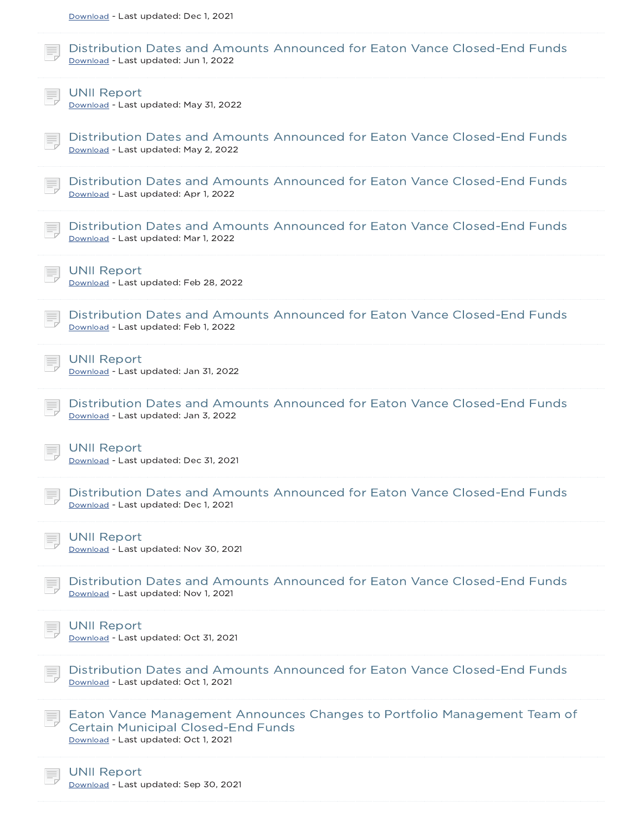| Download - Last updated: Dec 1, 2021                                                                                                                          |
|---------------------------------------------------------------------------------------------------------------------------------------------------------------|
| Distribution Dates and Amounts Announced for Eaton Vance Closed-End Funds<br>Download - Last updated: Jun 1, 2022                                             |
| <b>UNII Report</b><br>Download - Last updated: May 31, 2022                                                                                                   |
| Distribution Dates and Amounts Announced for Eaton Vance Closed-End Funds<br>Download - Last updated: May 2, 2022                                             |
| Distribution Dates and Amounts Announced for Eaton Vance Closed-End Funds<br>Download - Last updated: Apr 1, 2022                                             |
| Distribution Dates and Amounts Announced for Eaton Vance Closed-End Funds<br>Download - Last updated: Mar 1, 2022                                             |
| <b>UNII Report</b><br>Download - Last updated: Feb 28, 2022                                                                                                   |
| Distribution Dates and Amounts Announced for Eaton Vance Closed-End Funds<br>Download - Last updated: Feb 1, 2022                                             |
| <b>UNII Report</b><br>Download - Last updated: Jan 31, 2022                                                                                                   |
| Distribution Dates and Amounts Announced for Eaton Vance Closed-End Funds<br>Download - Last updated: Jan 3, 2022                                             |
| <b>UNII Report</b><br>Download - Last updated: Dec 31, 2021                                                                                                   |
| Distribution Dates and Amounts Announced for Eaton Vance Closed-End Funds<br>Download - Last updated: Dec 1, 2021                                             |
| <b>UNII Report</b><br>Download - Last updated: Nov 30, 2021                                                                                                   |
| Distribution Dates and Amounts Announced for Eaton Vance Closed-End Funds<br>Download - Last updated: Nov 1, 2021                                             |
|                                                                                                                                                               |
| <b>UNII Report</b><br>Download - Last updated: Oct 31, 2021                                                                                                   |
| Distribution Dates and Amounts Announced for Eaton Vance Closed-End Funds<br>Download - Last updated: Oct 1, 2021                                             |
| Eaton Vance Management Announces Changes to Portfolio Management Team of<br><b>Certain Municipal Closed-End Funds</b><br>Download - Last updated: Oct 1, 2021 |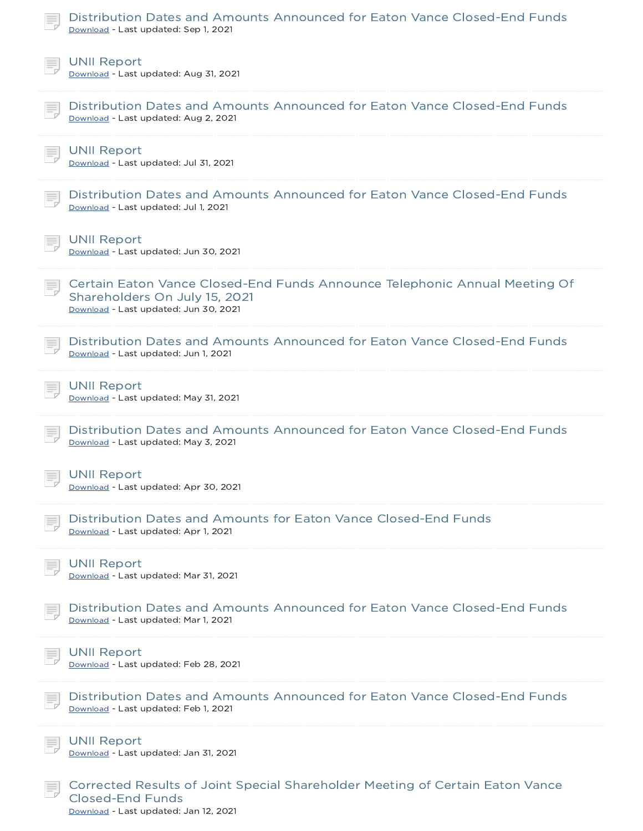| Distribution Dates and Amounts Announced for Eaton Vance Closed-End Funds<br>Download - Last updated: Sep 1, 2021                                    |
|------------------------------------------------------------------------------------------------------------------------------------------------------|
| <b>UNII Report</b><br>Download - Last updated: Aug 31, 2021                                                                                          |
| Distribution Dates and Amounts Announced for Eaton Vance Closed-End Funds<br>Download - Last updated: Aug 2, 2021                                    |
| <b>UNII Report</b><br>Download - Last updated: Jul 31, 2021                                                                                          |
| Distribution Dates and Amounts Announced for Eaton Vance Closed-End Funds<br>Download - Last updated: Jul 1, 2021                                    |
| <b>UNII Report</b><br>Download - Last updated: Jun 30, 2021                                                                                          |
| Certain Eaton Vance Closed-End Funds Announce Telephonic Annual Meeting Of<br>Shareholders On July 15, 2021<br>Download - Last updated: Jun 30, 2021 |
| Distribution Dates and Amounts Announced for Eaton Vance Closed-End Funds<br>Download - Last updated: Jun 1, 2021                                    |
| <b>UNII Report</b><br>Download - Last updated: May 31, 2021                                                                                          |
| Distribution Dates and Amounts Announced for Eaton Vance Closed-End Funds<br>Download - Last updated: May 3, 2021                                    |
| $\equiv$ UNII Report<br>Download - Last updated: Apr 30, 2021                                                                                        |
| Distribution Dates and Amounts for Eaton Vance Closed-End Funds<br>Download - Last updated: Apr 1, 2021                                              |
| <b>UNII Report</b><br>Download - Last updated: Mar 31, 2021                                                                                          |
| Distribution Dates and Amounts Announced for Eaton Vance Closed-End Funds<br>Download - Last updated: Mar 1, 2021                                    |
| <b>UNII Report</b><br>Download - Last updated: Feb 28, 2021                                                                                          |
| Distribution Dates and Amounts Announced for Eaton Vance Closed-End Funds<br>Download - Last updated: Feb 1, 2021                                    |
| <b>UNII Report</b><br>Download - Last updated: Jan 31, 2021                                                                                          |
| Corrected Results of Joint Special Shareholder Meeting of Certain Eaton Vance<br><b>Closed-End Funds</b>                                             |

Download - Last updated: Jan 12, 2021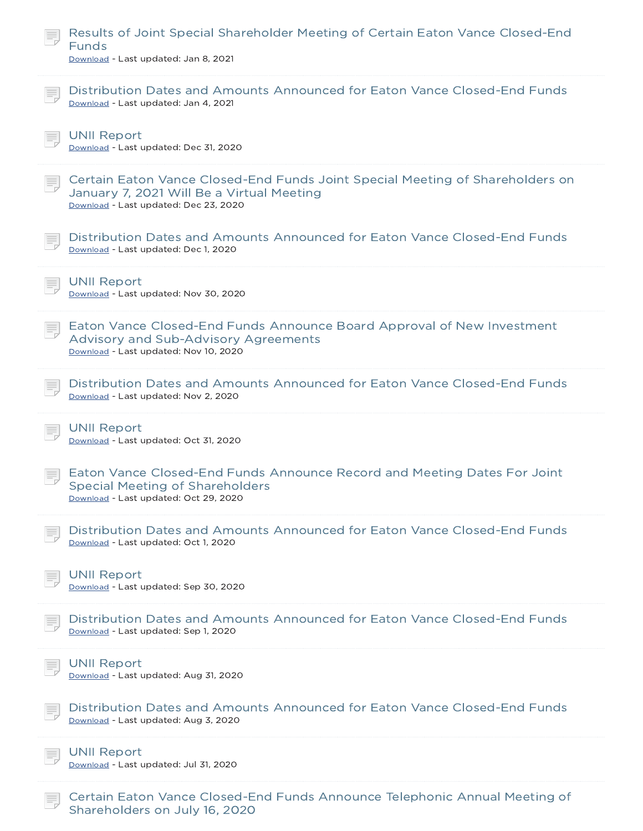| Results of Joint Special Shareholder Meeting of Certain Eaton Vance Closed-End<br><b>Funds</b><br>Download - Last updated: Jan 8, 2021                              |  |
|---------------------------------------------------------------------------------------------------------------------------------------------------------------------|--|
| Distribution Dates and Amounts Announced for Eaton Vance Closed-End Funds<br>Download - Last updated: Jan 4, 2021                                                   |  |
| <b>UNII Report</b><br>Download - Last updated: Dec 31, 2020                                                                                                         |  |
| Certain Eaton Vance Closed-End Funds Joint Special Meeting of Shareholders on<br>January 7, 2021 Will Be a Virtual Meeting<br>Download - Last updated: Dec 23, 2020 |  |
| Distribution Dates and Amounts Announced for Eaton Vance Closed-End Funds<br>Download - Last updated: Dec 1, 2020                                                   |  |
| <b>UNII Report</b><br>Download - Last updated: Nov 30, 2020                                                                                                         |  |
| Eaton Vance Closed-End Funds Announce Board Approval of New Investment<br>Advisory and Sub-Advisory Agreements<br>Download - Last updated: Nov 10, 2020             |  |
| Distribution Dates and Amounts Announced for Eaton Vance Closed-End Funds<br>Download - Last updated: Nov 2, 2020                                                   |  |
| <b>UNII Report</b><br>Download - Last updated: Oct 31, 2020                                                                                                         |  |
| Eaton Vance Closed-End Funds Announce Record and Meeting Dates For Joint<br><b>Special Meeting of Shareholders</b><br>Download - Last updated: Oct 29, 2020         |  |
| Distribution Dates and Amounts Announced for Eaton Vance Closed-End Funds                                                                                           |  |
| Download - Last updated: Oct 1, 2020                                                                                                                                |  |
| <b>UNII Report</b><br>Download - Last updated: Sep 30, 2020                                                                                                         |  |
| Distribution Dates and Amounts Announced for Eaton Vance Closed-End Funds<br>Download - Last updated: Sep 1, 2020                                                   |  |
| <b>UNII Report</b><br>Download - Last updated: Aug 31, 2020                                                                                                         |  |
| Distribution Dates and Amounts Announced for Eaton Vance Closed-End Funds<br>Download - Last updated: Aug 3, 2020                                                   |  |
| <b>UNII Report</b><br>Download - Last updated: Jul 31, 2020                                                                                                         |  |

Shareholders on July 16, 2020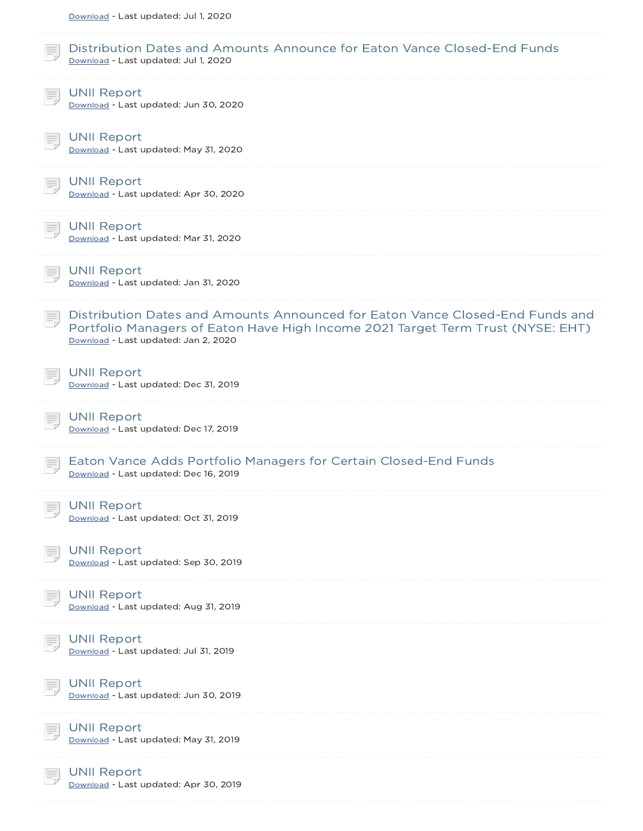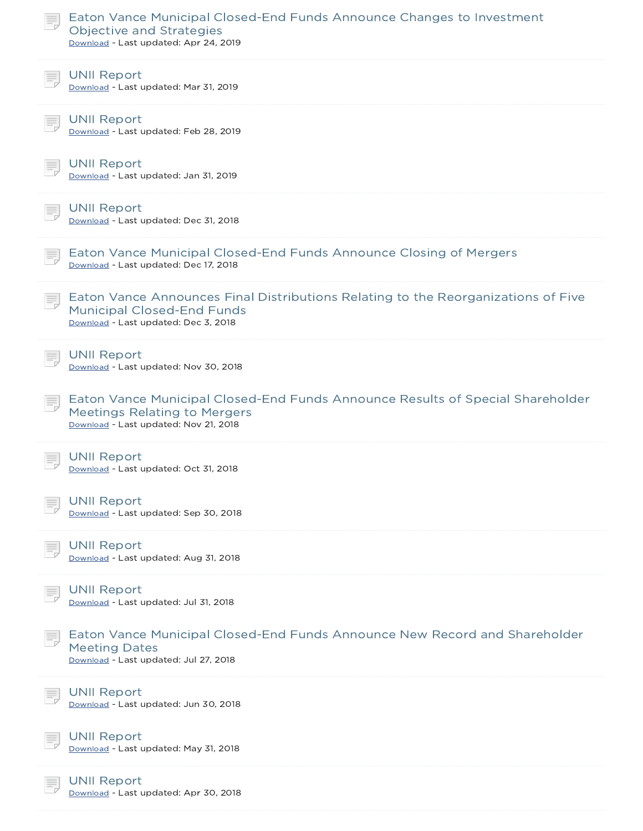| Eaton Vance Municipal Closed-End Funds Announce Changes to Investment<br>Objective and Strategies<br>Download - Last updated: Apr 24, 2019                     |  |
|----------------------------------------------------------------------------------------------------------------------------------------------------------------|--|
| <b>UNII Report</b><br>Download - Last updated: Mar 31, 2019                                                                                                    |  |
| <b>UNII Report</b><br>Download - Last updated: Feb 28, 2019                                                                                                    |  |
| <b>UNII Report</b><br>Download - Last updated: Jan 31, 2019                                                                                                    |  |
| <b>UNII Report</b><br>Download - Last updated: Dec 31, 2018                                                                                                    |  |
| Eaton Vance Municipal Closed-End Funds Announce Closing of Mergers<br>Download - Last updated: Dec 17, 2018                                                    |  |
| Eaton Vance Announces Final Distributions Relating to the Reorganizations of Five<br><b>Municipal Closed-End Funds</b><br>Download - Last updated: Dec 3, 2018 |  |
| <b>UNII Report</b><br>Download - Last updated: Nov 30, 2018                                                                                                    |  |
| Eaton Vance Municipal Closed-End Funds Announce Results of Special Shareholder<br><b>Meetings Relating to Mergers</b><br>Download - Last updated: Nov 21, 2018 |  |
| <b>UNII Report</b><br>Download - Last updated: Oct 31, 2018                                                                                                    |  |
| <b>UNII Report</b><br>Download - Last updated: Sep 30, 2018                                                                                                    |  |
| <b>UNII Report</b><br>Download - Last updated: Aug 31, 2018                                                                                                    |  |
| <b>UNII Report</b><br>Download - Last updated: Jul 31, 2018                                                                                                    |  |
| Eaton Vance Municipal Closed-End Funds Announce New Record and Shareholder<br><b>Meeting Dates</b><br>Download - Last updated: Jul 27, 2018                    |  |
| <b>UNII Report</b><br>Download - Last updated: Jun 30, 2018                                                                                                    |  |
| <b>UNII Report</b><br>Download - Last updated: May 31, 2018                                                                                                    |  |
| <b>UNII Report</b><br>Download - Last updated: Apr 30, 2018                                                                                                    |  |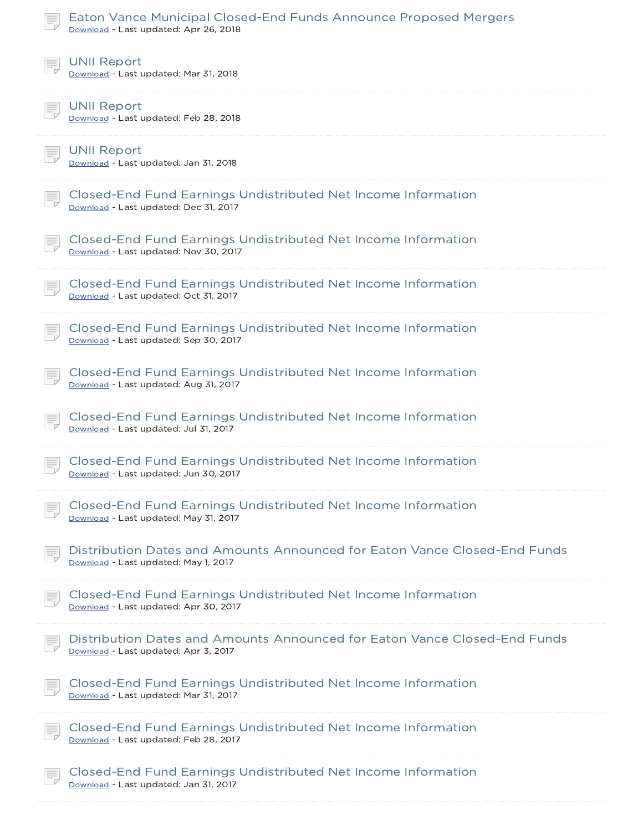| Eaton Vance Municipal Closed-End Funds Announce Proposed Mergers<br>Download - Last updated: Apr 26, 2018         |
|-------------------------------------------------------------------------------------------------------------------|
| <b>UNII Report</b><br>Download - Last updated: Mar 31, 2018                                                       |
| <b>UNII Report</b><br>Download - Last updated: Feb 28, 2018                                                       |
| <b>UNII Report</b><br>Download - Last updated: Jan 31, 2018                                                       |
| Closed-End Fund Earnings Undistributed Net Income Information<br>Download - Last updated: Dec 31, 2017            |
| Closed-End Fund Earnings Undistributed Net Income Information<br>Download - Last updated: Nov 30, 2017            |
| Closed-End Fund Earnings Undistributed Net Income Information<br>Download - Last updated: Oct 31, 2017            |
| Closed-End Fund Earnings Undistributed Net Income Information<br>Download - Last updated: Sep 30, 2017            |
| Closed-End Fund Earnings Undistributed Net Income Information<br>Download - Last updated: Aug 31, 2017            |
| Closed-End Fund Earnings Undistributed Net Income Information<br>Download - Last updated: Jul 31, 2017            |
| Closed-End Fund Earnings Undistributed Net Income Information<br>Download - Last updated: Jun 30, 2017            |
| Closed-End Fund Earnings Undistributed Net Income Information<br>Download - Last updated: May 31, 2017            |
| Distribution Dates and Amounts Announced for Eaton Vance Closed-End Funds<br>Download - Last updated: May 1, 2017 |
| Closed-End Fund Earnings Undistributed Net Income Information<br>Download - Last updated: Apr 30, 2017            |
| Distribution Dates and Amounts Announced for Eaton Vance Closed-End Funds<br>Download - Last updated: Apr 3, 2017 |
| Closed-End Fund Earnings Undistributed Net Income Information<br>Download - Last updated: Mar 31, 2017            |
| Closed-End Fund Earnings Undistributed Net Income Information<br>Download - Last updated: Feb 28, 2017            |
| Closed-End Fund Earnings Undistributed Net Income Information<br>Download - Last updated: Jan 31, 2017            |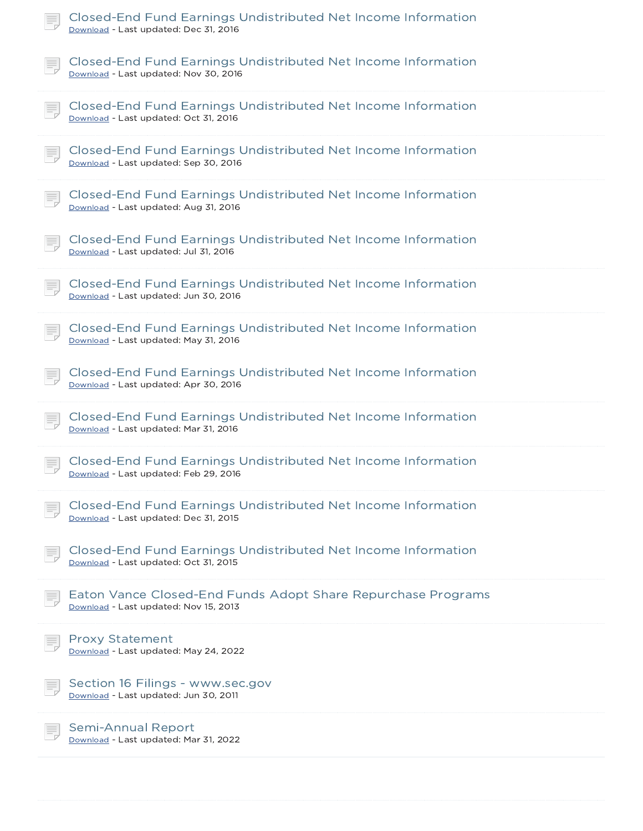| Closed-End Fund Earnings Undistributed Net Income Information<br>Download - Last updated: Dec 31, 2016 |
|--------------------------------------------------------------------------------------------------------|
| Closed-End Fund Earnings Undistributed Net Income Information<br>Download - Last updated: Nov 30, 2016 |
| Closed-End Fund Earnings Undistributed Net Income Information<br>Download - Last updated: Oct 31, 2016 |
| Closed-End Fund Earnings Undistributed Net Income Information<br>Download - Last updated: Sep 30, 2016 |
| Closed-End Fund Earnings Undistributed Net Income Information<br>Download - Last updated: Aug 31, 2016 |
| Closed-End Fund Earnings Undistributed Net Income Information<br>Download - Last updated: Jul 31, 2016 |
| Closed-End Fund Earnings Undistributed Net Income Information<br>Download - Last updated: Jun 30, 2016 |
| Closed-End Fund Earnings Undistributed Net Income Information<br>Download - Last updated: May 31, 2016 |
| Closed-End Fund Earnings Undistributed Net Income Information<br>Download - Last updated: Apr 30, 2016 |
| Closed-End Fund Earnings Undistributed Net Income Information<br>Download - Last updated: Mar 31, 2016 |
| Closed-End Fund Earnings Undistributed Net Income Information<br>Download - Last updated: Feb 29, 2016 |
| Closed-End Fund Earnings Undistributed Net Income Information<br>Download - Last updated: Dec 31, 2015 |
| Closed-End Fund Earnings Undistributed Net Income Information<br>Download - Last updated: Oct 31, 2015 |
| Eaton Vance Closed-End Funds Adopt Share Repurchase Programs<br>Download - Last updated: Nov 15, 2013  |
| <b>Proxy Statement</b><br>Download - Last updated: May 24, 2022                                        |
| Section 16 Filings - www.sec.gov<br>Download - Last updated: Jun 30, 2011                              |
| <b>Semi-Annual Report</b><br>Download - Last updated: Mar 31, 2022                                     |